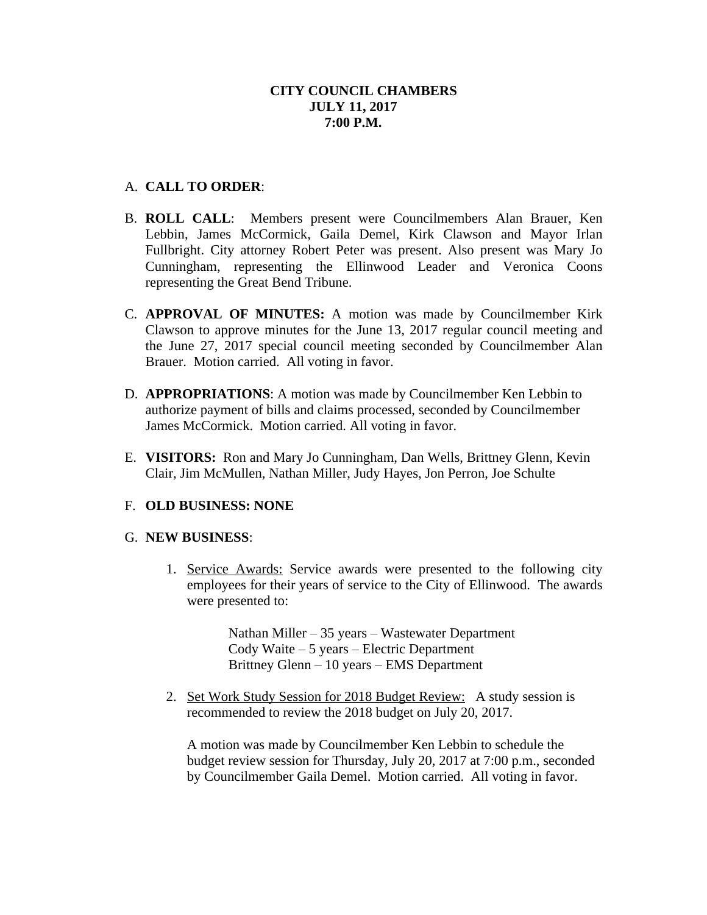# A. **CALL TO ORDER**:

- B. **ROLL CALL**: Members present were Councilmembers Alan Brauer, Ken Lebbin, James McCormick, Gaila Demel, Kirk Clawson and Mayor Irlan Fullbright. City attorney Robert Peter was present. Also present was Mary Jo Cunningham, representing the Ellinwood Leader and Veronica Coons representing the Great Bend Tribune.
- C. **APPROVAL OF MINUTES:** A motion was made by Councilmember Kirk Clawson to approve minutes for the June 13, 2017 regular council meeting and the June 27, 2017 special council meeting seconded by Councilmember Alan Brauer. Motion carried. All voting in favor.
- D. **APPROPRIATIONS**: A motion was made by Councilmember Ken Lebbin to authorize payment of bills and claims processed, seconded by Councilmember James McCormick. Motion carried. All voting in favor.
- E. **VISITORS:** Ron and Mary Jo Cunningham, Dan Wells, Brittney Glenn, Kevin Clair, Jim McMullen, Nathan Miller, Judy Hayes, Jon Perron, Joe Schulte

## F. **OLD BUSINESS: NONE**

## G. **NEW BUSINESS**:

1. Service Awards: Service awards were presented to the following city employees for their years of service to the City of Ellinwood. The awards were presented to:

> Nathan Miller – 35 years – Wastewater Department Cody Waite – 5 years – Electric Department Brittney Glenn – 10 years – EMS Department

2. Set Work Study Session for 2018 Budget Review: A study session is recommended to review the 2018 budget on July 20, 2017.

A motion was made by Councilmember Ken Lebbin to schedule the budget review session for Thursday, July 20, 2017 at 7:00 p.m., seconded by Councilmember Gaila Demel. Motion carried. All voting in favor.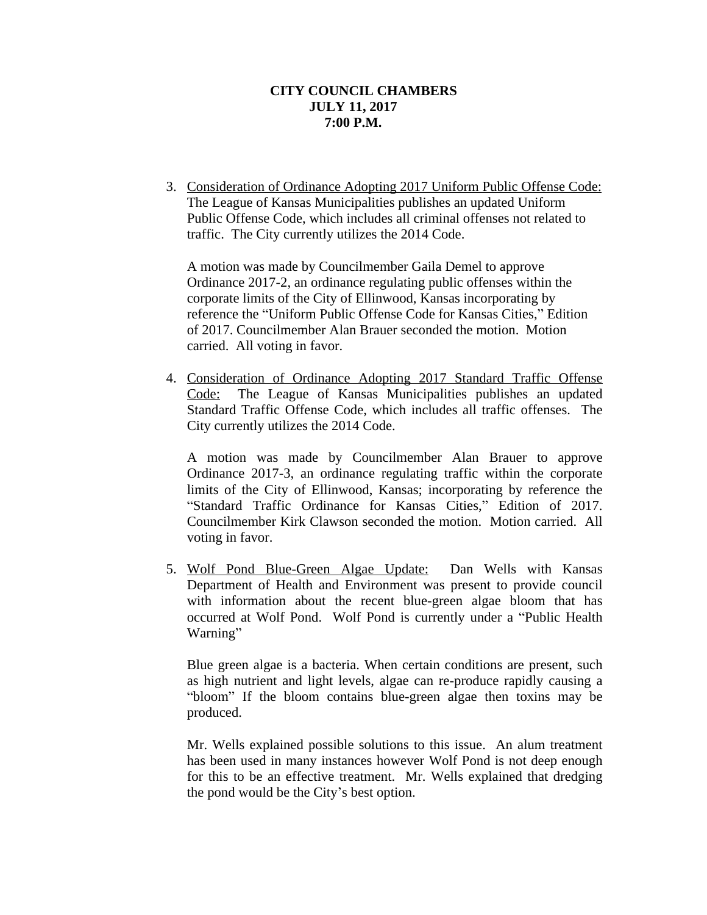3. Consideration of Ordinance Adopting 2017 Uniform Public Offense Code: The League of Kansas Municipalities publishes an updated Uniform Public Offense Code, which includes all criminal offenses not related to traffic. The City currently utilizes the 2014 Code.

A motion was made by Councilmember Gaila Demel to approve Ordinance 2017-2, an ordinance regulating public offenses within the corporate limits of the City of Ellinwood, Kansas incorporating by reference the "Uniform Public Offense Code for Kansas Cities," Edition of 2017. Councilmember Alan Brauer seconded the motion. Motion carried. All voting in favor.

4. Consideration of Ordinance Adopting 2017 Standard Traffic Offense Code: The League of Kansas Municipalities publishes an updated Standard Traffic Offense Code, which includes all traffic offenses. The City currently utilizes the 2014 Code.

A motion was made by Councilmember Alan Brauer to approve Ordinance 2017-3, an ordinance regulating traffic within the corporate limits of the City of Ellinwood, Kansas; incorporating by reference the "Standard Traffic Ordinance for Kansas Cities," Edition of 2017. Councilmember Kirk Clawson seconded the motion. Motion carried. All voting in favor.

5. Wolf Pond Blue-Green Algae Update: Dan Wells with Kansas Department of Health and Environment was present to provide council with information about the recent blue-green algae bloom that has occurred at Wolf Pond. Wolf Pond is currently under a "Public Health Warning"

Blue green algae is a bacteria. When certain conditions are present, such as high nutrient and light levels, algae can re-produce rapidly causing a "bloom" If the bloom contains blue-green algae then toxins may be produced.

Mr. Wells explained possible solutions to this issue. An alum treatment has been used in many instances however Wolf Pond is not deep enough for this to be an effective treatment. Mr. Wells explained that dredging the pond would be the City's best option.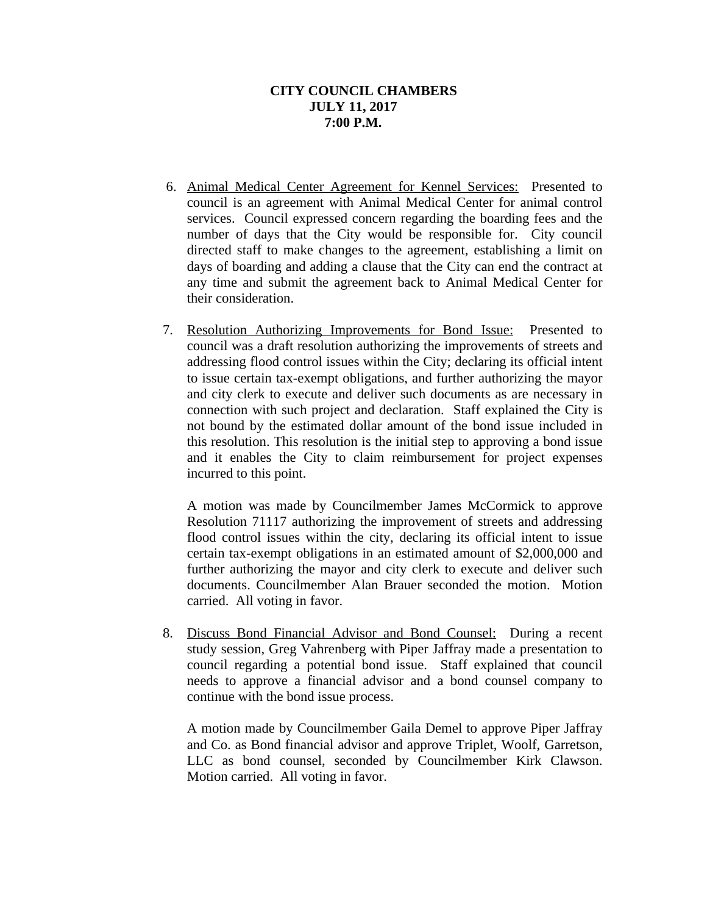- 6. Animal Medical Center Agreement for Kennel Services: Presented to council is an agreement with Animal Medical Center for animal control services. Council expressed concern regarding the boarding fees and the number of days that the City would be responsible for. City council directed staff to make changes to the agreement, establishing a limit on days of boarding and adding a clause that the City can end the contract at any time and submit the agreement back to Animal Medical Center for their consideration.
- 7. Resolution Authorizing Improvements for Bond Issue: Presented to council was a draft resolution authorizing the improvements of streets and addressing flood control issues within the City; declaring its official intent to issue certain tax-exempt obligations, and further authorizing the mayor and city clerk to execute and deliver such documents as are necessary in connection with such project and declaration. Staff explained the City is not bound by the estimated dollar amount of the bond issue included in this resolution. This resolution is the initial step to approving a bond issue and it enables the City to claim reimbursement for project expenses incurred to this point.

A motion was made by Councilmember James McCormick to approve Resolution 71117 authorizing the improvement of streets and addressing flood control issues within the city, declaring its official intent to issue certain tax-exempt obligations in an estimated amount of \$2,000,000 and further authorizing the mayor and city clerk to execute and deliver such documents. Councilmember Alan Brauer seconded the motion. Motion carried. All voting in favor.

8. Discuss Bond Financial Advisor and Bond Counsel: During a recent study session, Greg Vahrenberg with Piper Jaffray made a presentation to council regarding a potential bond issue. Staff explained that council needs to approve a financial advisor and a bond counsel company to continue with the bond issue process.

A motion made by Councilmember Gaila Demel to approve Piper Jaffray and Co. as Bond financial advisor and approve Triplet, Woolf, Garretson, LLC as bond counsel, seconded by Councilmember Kirk Clawson. Motion carried. All voting in favor.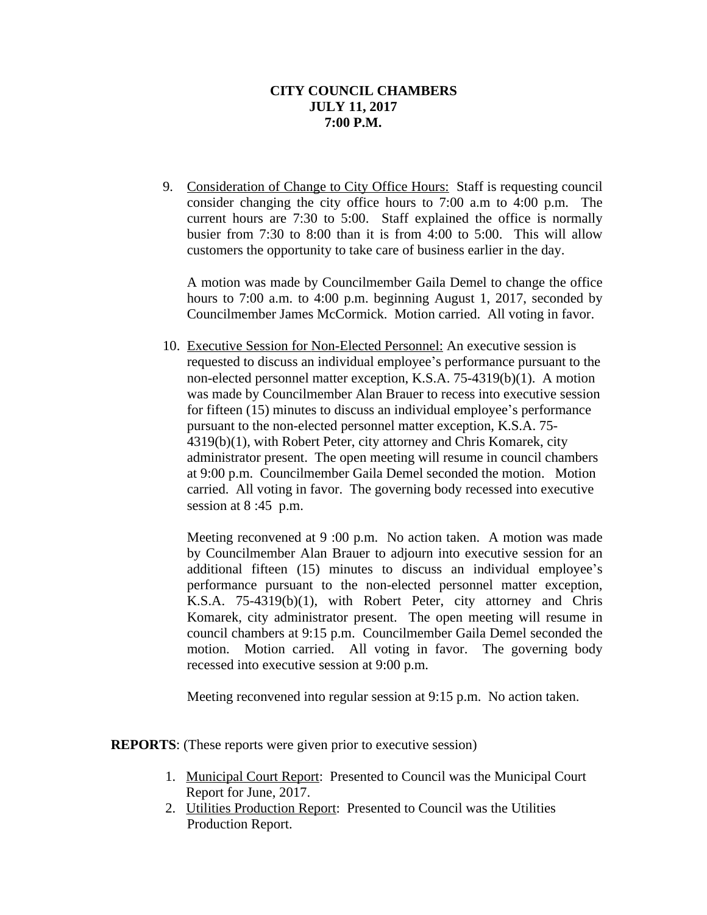9. Consideration of Change to City Office Hours: Staff is requesting council consider changing the city office hours to 7:00 a.m to 4:00 p.m. The current hours are 7:30 to 5:00. Staff explained the office is normally busier from 7:30 to 8:00 than it is from 4:00 to 5:00. This will allow customers the opportunity to take care of business earlier in the day.

A motion was made by Councilmember Gaila Demel to change the office hours to 7:00 a.m. to 4:00 p.m. beginning August 1, 2017, seconded by Councilmember James McCormick. Motion carried. All voting in favor.

 10. Executive Session for Non-Elected Personnel: An executive session is requested to discuss an individual employee's performance pursuant to the non-elected personnel matter exception, K.S.A. 75-4319(b)(1). A motion was made by Councilmember Alan Brauer to recess into executive session for fifteen (15) minutes to discuss an individual employee's performance pursuant to the non-elected personnel matter exception, K.S.A. 75- 4319(b)(1), with Robert Peter, city attorney and Chris Komarek, city administrator present. The open meeting will resume in council chambers at 9:00 p.m. Councilmember Gaila Demel seconded the motion. Motion carried. All voting in favor. The governing body recessed into executive session at 8:45 p.m.

Meeting reconvened at 9 :00 p.m. No action taken. A motion was made by Councilmember Alan Brauer to adjourn into executive session for an additional fifteen (15) minutes to discuss an individual employee's performance pursuant to the non-elected personnel matter exception, K.S.A. 75-4319(b)(1), with Robert Peter, city attorney and Chris Komarek, city administrator present. The open meeting will resume in council chambers at 9:15 p.m. Councilmember Gaila Demel seconded the motion. Motion carried. All voting in favor. The governing body recessed into executive session at 9:00 p.m.

Meeting reconvened into regular session at 9:15 p.m. No action taken.

**REPORTS**: (These reports were given prior to executive session)

- 1. Municipal Court Report: Presented to Council was the Municipal Court Report for June, 2017.
- 2. Utilities Production Report: Presented to Council was the Utilities Production Report.